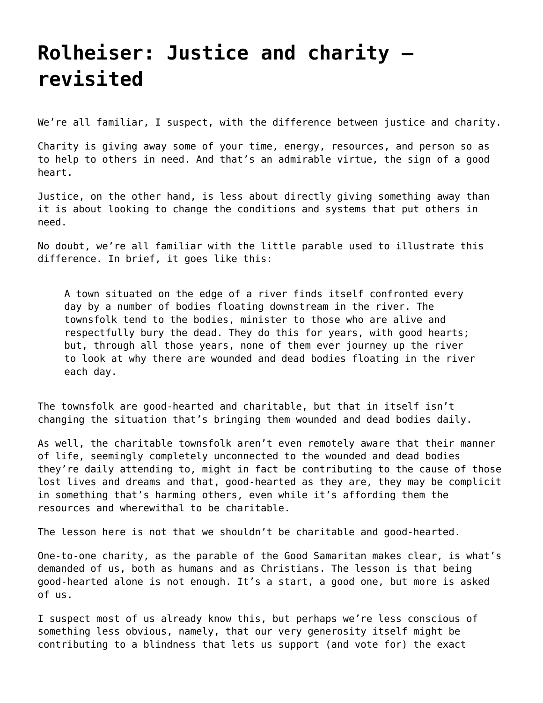## **[Rolheiser: Justice and charity](https://grandinmedia.ca/rolheiser-justice-and-charity-revisited/)  [revisited](https://grandinmedia.ca/rolheiser-justice-and-charity-revisited/)**

We're all familiar, I suspect, with the difference between justice and charity.

Charity is giving away some of your time, energy, resources, and person so as to help to others in need. And that's an admirable virtue, the sign of a good heart.

Justice, on the other hand, is less about directly giving something away than it is about looking to change the conditions and systems that put others in need.

No doubt, we're all familiar with the little parable used to illustrate this difference. In brief, it goes like this:

A town situated on the edge of a river finds itself confronted every day by a number of bodies floating downstream in the river. The townsfolk tend to the bodies, minister to those who are alive and respectfully bury the dead. They do this for years, with good hearts; but, through all those years, none of them ever journey up the river to look at why there are wounded and dead bodies floating in the river each day.

The townsfolk are good-hearted and charitable, but that in itself isn't changing the situation that's bringing them wounded and dead bodies daily.

As well, the charitable townsfolk aren't even remotely aware that their manner of life, seemingly completely unconnected to the wounded and dead bodies they're daily attending to, might in fact be contributing to the cause of those lost lives and dreams and that, good-hearted as they are, they may be complicit in something that's harming others, even while it's affording them the resources and wherewithal to be charitable.

The lesson here is not that we shouldn't be charitable and good-hearted.

One-to-one charity, as the parable of the Good Samaritan makes clear, is what's demanded of us, both as humans and as Christians. The lesson is that being good-hearted alone is not enough. It's a start, a good one, but more is asked of us.

I suspect most of us already know this, but perhaps we're less conscious of something less obvious, namely, that our very generosity itself might be contributing to a blindness that lets us support (and vote for) the exact